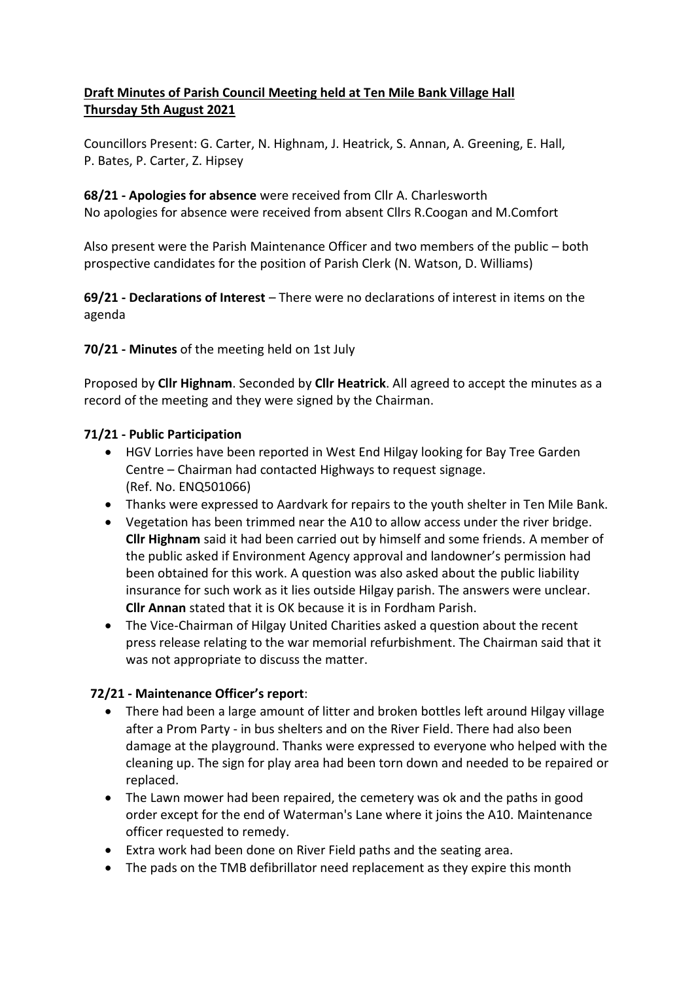# **Draft Minutes of Parish Council Meeting held at Ten Mile Bank Village Hall Thursday 5th August 2021**

Councillors Present: G. Carter, N. Highnam, J. Heatrick, S. Annan, A. Greening, E. Hall, P. Bates, P. Carter, Z. Hipsey

**68/21 - Apologies for absence** were received from Cllr A. Charlesworth No apologies for absence were received from absent Cllrs R.Coogan and M.Comfort

Also present were the Parish Maintenance Officer and two members of the public – both prospective candidates for the position of Parish Clerk (N. Watson, D. Williams)

**69/21 - Declarations of Interest** – There were no declarations of interest in items on the agenda

**70/21 - Minutes** of the meeting held on 1st July

Proposed by **Cllr Highnam**. Seconded by **Cllr Heatrick**. All agreed to accept the minutes as a record of the meeting and they were signed by the Chairman.

# **71/21 - Public Participation**

- HGV Lorries have been reported in West End Hilgay looking for Bay Tree Garden Centre – Chairman had contacted Highways to request signage. (Ref. No. ENQ501066)
- Thanks were expressed to Aardvark for repairs to the youth shelter in Ten Mile Bank.
- Vegetation has been trimmed near the A10 to allow access under the river bridge. **Cllr Highnam** said it had been carried out by himself and some friends. A member of the public asked if Environment Agency approval and landowner's permission had been obtained for this work. A question was also asked about the public liability insurance for such work as it lies outside Hilgay parish. The answers were unclear. **Cllr Annan** stated that it is OK because it is in Fordham Parish.
- The Vice-Chairman of Hilgay United Charities asked a question about the recent press release relating to the war memorial refurbishment. The Chairman said that it was not appropriate to discuss the matter.

# **72/21 - Maintenance Officer's report**:

- There had been a large amount of litter and broken bottles left around Hilgay village after a Prom Party - in bus shelters and on the River Field. There had also been damage at the playground. Thanks were expressed to everyone who helped with the cleaning up. The sign for play area had been torn down and needed to be repaired or replaced.
- The Lawn mower had been repaired, the cemetery was ok and the paths in good order except for the end of Waterman's Lane where it joins the A10. Maintenance officer requested to remedy.
- Extra work had been done on River Field paths and the seating area.
- The pads on the TMB defibrillator need replacement as they expire this month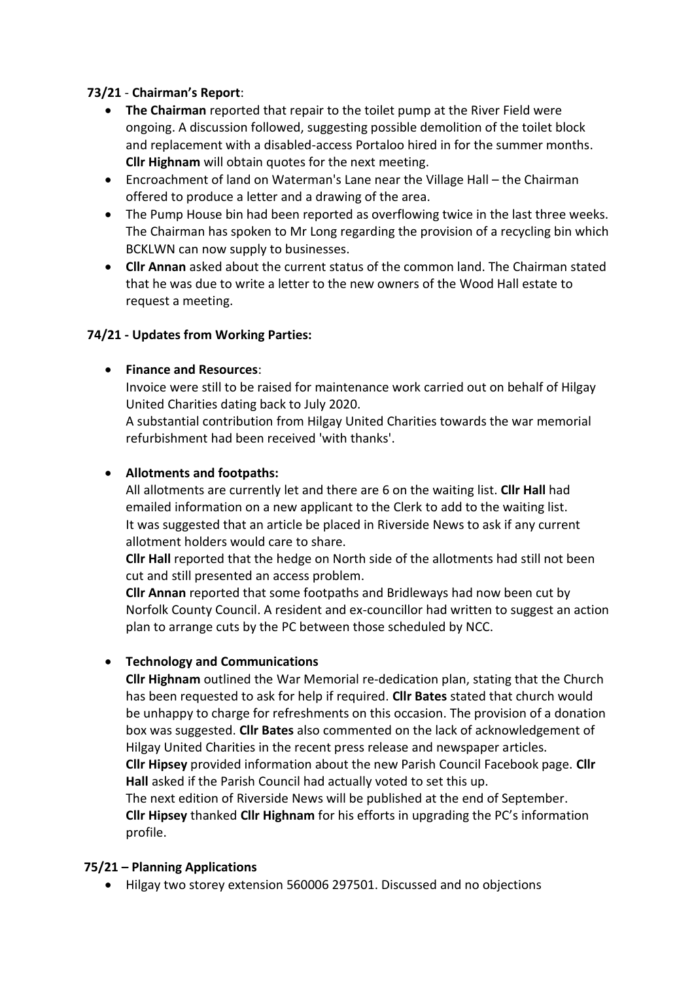# **73/21** - **Chairman's Report**:

- **The Chairman** reported that repair to the toilet pump at the River Field were ongoing. A discussion followed, suggesting possible demolition of the toilet block and replacement with a disabled-access Portaloo hired in for the summer months. **Cllr Highnam** will obtain quotes for the next meeting.
- Encroachment of land on Waterman's Lane near the Village Hall the Chairman offered to produce a letter and a drawing of the area.
- The Pump House bin had been reported as overflowing twice in the last three weeks. The Chairman has spoken to Mr Long regarding the provision of a recycling bin which BCKLWN can now supply to businesses.
- **Cllr Annan** asked about the current status of the common land. The Chairman stated that he was due to write a letter to the new owners of the Wood Hall estate to request a meeting.

# **74/21 - Updates from Working Parties:**

# • **Finance and Resources**:

Invoice were still to be raised for maintenance work carried out on behalf of Hilgay United Charities dating back to July 2020.

A substantial contribution from Hilgay United Charities towards the war memorial refurbishment had been received 'with thanks'.

#### • **Allotments and footpaths:**

All allotments are currently let and there are 6 on the waiting list. **Cllr Hall** had emailed information on a new applicant to the Clerk to add to the waiting list. It was suggested that an article be placed in Riverside News to ask if any current allotment holders would care to share.

**Cllr Hall** reported that the hedge on North side of the allotments had still not been cut and still presented an access problem.

**Cllr Annan** reported that some footpaths and Bridleways had now been cut by Norfolk County Council. A resident and ex-councillor had written to suggest an action plan to arrange cuts by the PC between those scheduled by NCC.

# • **Technology and Communications**

**Cllr Highnam** outlined the War Memorial re-dedication plan, stating that the Church has been requested to ask for help if required. **Cllr Bates** stated that church would be unhappy to charge for refreshments on this occasion. The provision of a donation box was suggested. **Cllr Bates** also commented on the lack of acknowledgement of Hilgay United Charities in the recent press release and newspaper articles. **Cllr Hipsey** provided information about the new Parish Council Facebook page. **Cllr Hall** asked if the Parish Council had actually voted to set this up.

The next edition of Riverside News will be published at the end of September. **Cllr Hipsey** thanked **Cllr Highnam** for his efforts in upgrading the PC's information profile.

# **75/21 – Planning Applications**

• Hilgay two storey extension 560006 297501. Discussed and no objections